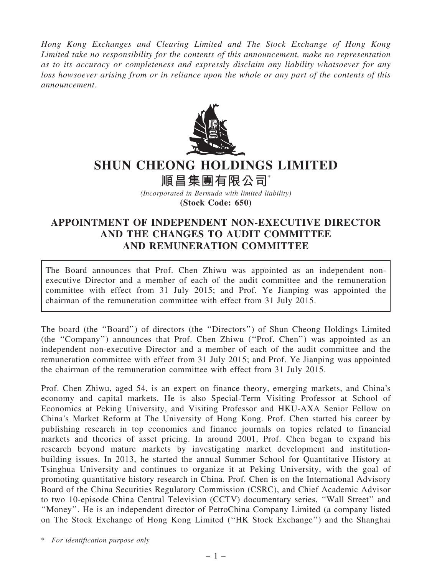Hong Kong Exchanges and Clearing Limited and The Stock Exchange of Hong Kong Limited take no responsibility for the contents of this announcement, make no representation as to its accuracy or completeness and expressly disclaim any liability whatsoever for any loss howsoever arising from or in reliance upon the whole or any part of the contents of this announcement.



## SHUN CHEONG HOLDINGS LIMITED

順昌集團有限公司\*

(Incorporated in Bermuda with limited liability) (Stock Code: 650)

## APPOINTMENT OF INDEPENDENT NON-EXECUTIVE DIRECTOR AND THE CHANGES TO AUDIT COMMITTEE AND REMUNERATION COMMITTEE

The Board announces that Prof. Chen Zhiwu was appointed as an independent nonexecutive Director and a member of each of the audit committee and the remuneration committee with effect from 31 July 2015; and Prof. Ye Jianping was appointed the chairman of the remuneration committee with effect from 31 July 2015.

The board (the ''Board'') of directors (the ''Directors'') of Shun Cheong Holdings Limited (the ''Company'') announces that Prof. Chen Zhiwu (''Prof. Chen'') was appointed as an independent non-executive Director and a member of each of the audit committee and the remuneration committee with effect from 31 July 2015; and Prof. Ye Jianping was appointed the chairman of the remuneration committee with effect from 31 July 2015.

Prof. Chen Zhiwu, aged 54, is an expert on finance theory, emerging markets, and China's economy and capital markets. He is also Special-Term Visiting Professor at School of Economics at Peking University, and Visiting Professor and HKU-AXA Senior Fellow on China's Market Reform at The University of Hong Kong. Prof. Chen started his career by publishing research in top economics and finance journals on topics related to financial markets and theories of asset pricing. In around 2001, Prof. Chen began to expand his research beyond mature markets by investigating market development and institutionbuilding issues. In 2013, he started the annual Summer School for Quantitative History at Tsinghua University and continues to organize it at Peking University, with the goal of promoting quantitative history research in China. Prof. Chen is on the International Advisory Board of the China Securities Regulatory Commission (CSRC), and Chief Academic Advisor to two 10-episode China Central Television (CCTV) documentary series, ''Wall Street'' and ''Money''. He is an independent director of PetroChina Company Limited (a company listed on The Stock Exchange of Hong Kong Limited (''HK Stock Exchange'') and the Shanghai

\* For identification purpose only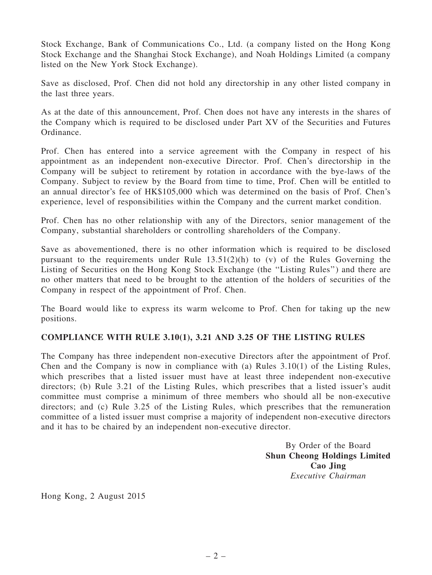Stock Exchange, Bank of Communications Co., Ltd. (a company listed on the Hong Kong Stock Exchange and the Shanghai Stock Exchange), and Noah Holdings Limited (a company listed on the New York Stock Exchange).

Save as disclosed, Prof. Chen did not hold any directorship in any other listed company in the last three years.

As at the date of this announcement, Prof. Chen does not have any interests in the shares of the Company which is required to be disclosed under Part XV of the Securities and Futures Ordinance.

Prof. Chen has entered into a service agreement with the Company in respect of his appointment as an independent non-executive Director. Prof. Chen's directorship in the Company will be subject to retirement by rotation in accordance with the bye-laws of the Company. Subject to review by the Board from time to time, Prof. Chen will be entitled to an annual director's fee of HK\$105,000 which was determined on the basis of Prof. Chen's experience, level of responsibilities within the Company and the current market condition.

Prof. Chen has no other relationship with any of the Directors, senior management of the Company, substantial shareholders or controlling shareholders of the Company.

Save as abovementioned, there is no other information which is required to be disclosed pursuant to the requirements under Rule 13.51(2)(h) to (v) of the Rules Governing the Listing of Securities on the Hong Kong Stock Exchange (the ''Listing Rules'') and there are no other matters that need to be brought to the attention of the holders of securities of the Company in respect of the appointment of Prof. Chen.

The Board would like to express its warm welcome to Prof. Chen for taking up the new positions.

## COMPLIANCE WITH RULE 3.10(1), 3.21 AND 3.25 OF THE LISTING RULES

The Company has three independent non-executive Directors after the appointment of Prof. Chen and the Company is now in compliance with (a) Rules  $3.10(1)$  of the Listing Rules, which prescribes that a listed issuer must have at least three independent non-executive directors; (b) Rule 3.21 of the Listing Rules, which prescribes that a listed issuer's audit committee must comprise a minimum of three members who should all be non-executive directors; and (c) Rule 3.25 of the Listing Rules, which prescribes that the remuneration committee of a listed issuer must comprise a majority of independent non-executive directors and it has to be chaired by an independent non-executive director.

> By Order of the Board Shun Cheong Holdings Limited Cao Jing Executive Chairman

Hong Kong, 2 August 2015